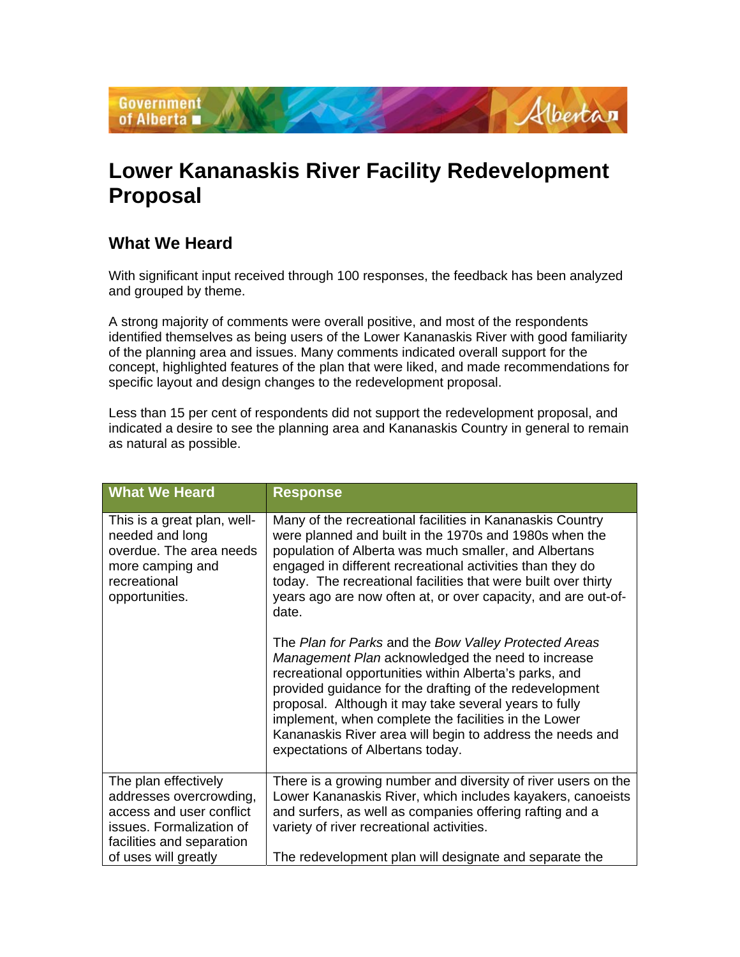

## **Lower Kananaskis River Facility Redevelopment Proposal**

## **What We Heard**

With significant input received through 100 responses, the feedback has been analyzed and grouped by theme.

A strong majority of comments were overall positive, and most of the respondents identified themselves as being users of the Lower Kananaskis River with good familiarity of the planning area and issues. Many comments indicated overall support for the concept, highlighted features of the plan that were liked, and made recommendations for specific layout and design changes to the redevelopment proposal.

Less than 15 per cent of respondents did not support the redevelopment proposal, and indicated a desire to see the planning area and Kananaskis Country in general to remain as natural as possible.

| <b>What We Heard</b>                                                                                                                 | <b>Response</b>                                                                                                                                                                                                                                                                                                                                                                                                                                                                                                                                                                                                                                                                                                                                                                                                                            |
|--------------------------------------------------------------------------------------------------------------------------------------|--------------------------------------------------------------------------------------------------------------------------------------------------------------------------------------------------------------------------------------------------------------------------------------------------------------------------------------------------------------------------------------------------------------------------------------------------------------------------------------------------------------------------------------------------------------------------------------------------------------------------------------------------------------------------------------------------------------------------------------------------------------------------------------------------------------------------------------------|
| This is a great plan, well-<br>needed and long<br>overdue. The area needs<br>more camping and<br>recreational<br>opportunities.      | Many of the recreational facilities in Kananaskis Country<br>were planned and built in the 1970s and 1980s when the<br>population of Alberta was much smaller, and Albertans<br>engaged in different recreational activities than they do<br>today. The recreational facilities that were built over thirty<br>years ago are now often at, or over capacity, and are out-of-<br>date.<br>The Plan for Parks and the Bow Valley Protected Areas<br>Management Plan acknowledged the need to increase<br>recreational opportunities within Alberta's parks, and<br>provided guidance for the drafting of the redevelopment<br>proposal. Although it may take several years to fully<br>implement, when complete the facilities in the Lower<br>Kananaskis River area will begin to address the needs and<br>expectations of Albertans today. |
| The plan effectively<br>addresses overcrowding,<br>access and user conflict<br>issues. Formalization of<br>facilities and separation | There is a growing number and diversity of river users on the<br>Lower Kananaskis River, which includes kayakers, canoeists<br>and surfers, as well as companies offering rafting and a<br>variety of river recreational activities.                                                                                                                                                                                                                                                                                                                                                                                                                                                                                                                                                                                                       |
| of uses will greatly                                                                                                                 | The redevelopment plan will designate and separate the                                                                                                                                                                                                                                                                                                                                                                                                                                                                                                                                                                                                                                                                                                                                                                                     |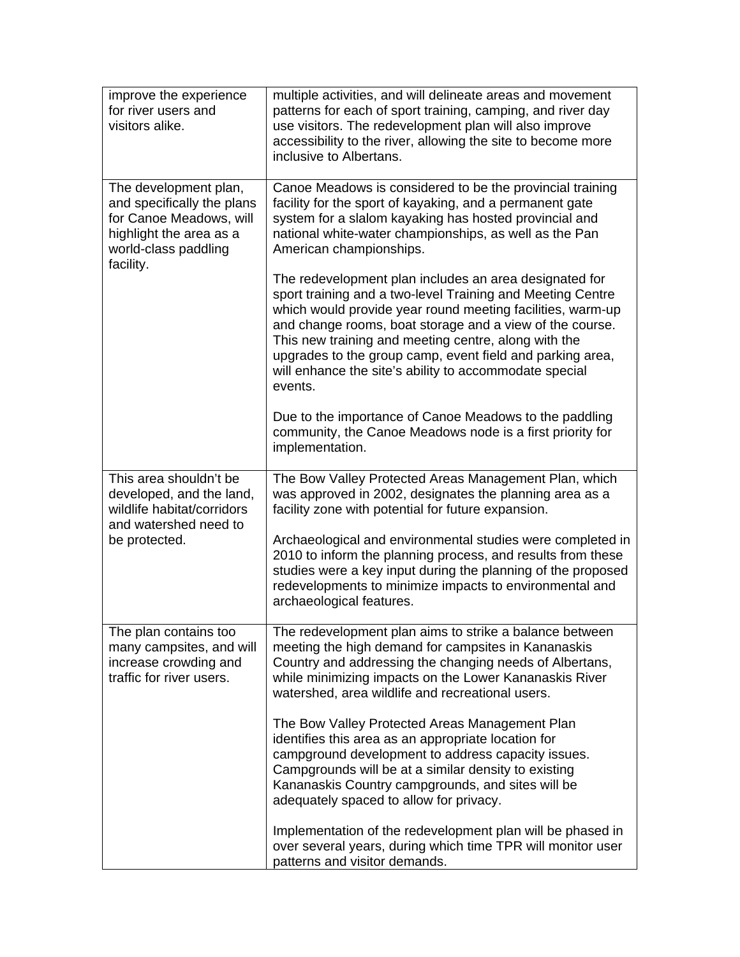| improve the experience<br>for river users and<br>visitors alike.                                                                               | multiple activities, and will delineate areas and movement<br>patterns for each of sport training, camping, and river day<br>use visitors. The redevelopment plan will also improve<br>accessibility to the river, allowing the site to become more<br>inclusive to Albertans.                                                                                                                                                           |
|------------------------------------------------------------------------------------------------------------------------------------------------|------------------------------------------------------------------------------------------------------------------------------------------------------------------------------------------------------------------------------------------------------------------------------------------------------------------------------------------------------------------------------------------------------------------------------------------|
| The development plan,<br>and specifically the plans<br>for Canoe Meadows, will<br>highlight the area as a<br>world-class paddling<br>facility. | Canoe Meadows is considered to be the provincial training<br>facility for the sport of kayaking, and a permanent gate<br>system for a slalom kayaking has hosted provincial and<br>national white-water championships, as well as the Pan<br>American championships.                                                                                                                                                                     |
|                                                                                                                                                | The redevelopment plan includes an area designated for<br>sport training and a two-level Training and Meeting Centre<br>which would provide year round meeting facilities, warm-up<br>and change rooms, boat storage and a view of the course.<br>This new training and meeting centre, along with the<br>upgrades to the group camp, event field and parking area,<br>will enhance the site's ability to accommodate special<br>events. |
|                                                                                                                                                | Due to the importance of Canoe Meadows to the paddling<br>community, the Canoe Meadows node is a first priority for<br>implementation.                                                                                                                                                                                                                                                                                                   |
| This area shouldn't be<br>developed, and the land,<br>wildlife habitat/corridors<br>and watershed need to<br>be protected.                     | The Bow Valley Protected Areas Management Plan, which<br>was approved in 2002, designates the planning area as a<br>facility zone with potential for future expansion.                                                                                                                                                                                                                                                                   |
|                                                                                                                                                | Archaeological and environmental studies were completed in<br>2010 to inform the planning process, and results from these<br>studies were a key input during the planning of the proposed<br>redevelopments to minimize impacts to environmental and<br>archaeological features.                                                                                                                                                         |
| The plan contains too<br>many campsites, and will<br>increase crowding and<br>traffic for river users.                                         | The redevelopment plan aims to strike a balance between<br>meeting the high demand for campsites in Kananaskis<br>Country and addressing the changing needs of Albertans,<br>while minimizing impacts on the Lower Kananaskis River<br>watershed, area wildlife and recreational users.                                                                                                                                                  |
|                                                                                                                                                | The Bow Valley Protected Areas Management Plan<br>identifies this area as an appropriate location for<br>campground development to address capacity issues.<br>Campgrounds will be at a similar density to existing<br>Kananaskis Country campgrounds, and sites will be<br>adequately spaced to allow for privacy.                                                                                                                      |
|                                                                                                                                                | Implementation of the redevelopment plan will be phased in<br>over several years, during which time TPR will monitor user<br>patterns and visitor demands.                                                                                                                                                                                                                                                                               |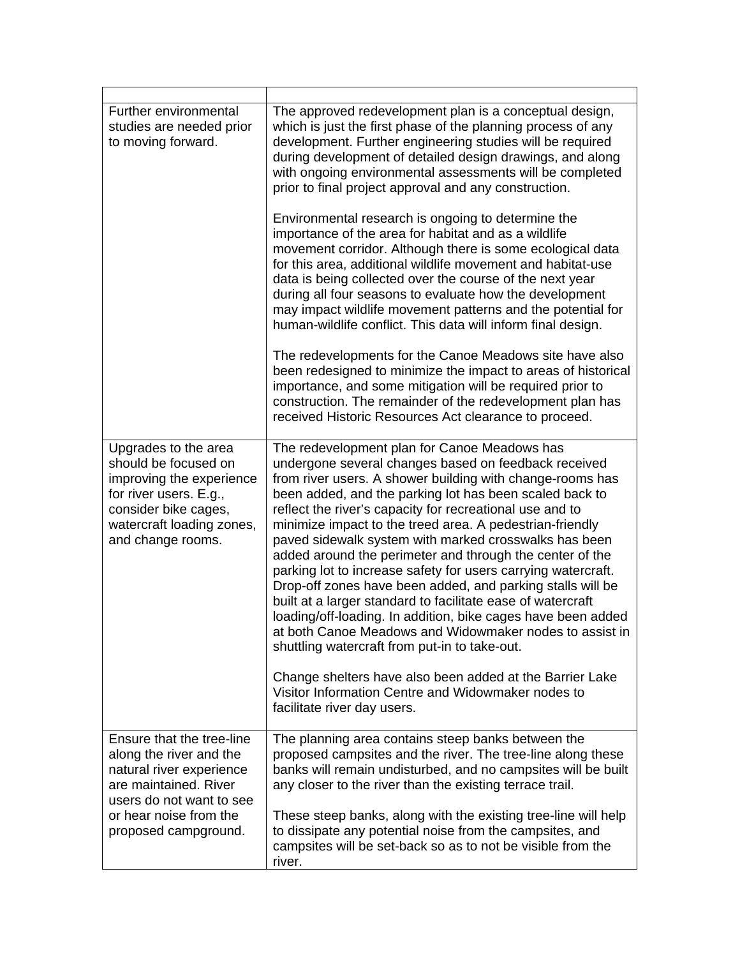| Further environmental<br>studies are needed prior<br>to moving forward.                                                                                                      | The approved redevelopment plan is a conceptual design,<br>which is just the first phase of the planning process of any<br>development. Further engineering studies will be required<br>during development of detailed design drawings, and along<br>with ongoing environmental assessments will be completed<br>prior to final project approval and any construction.<br>Environmental research is ongoing to determine the<br>importance of the area for habitat and as a wildlife<br>movement corridor. Although there is some ecological data<br>for this area, additional wildlife movement and habitat-use<br>data is being collected over the course of the next year<br>during all four seasons to evaluate how the development<br>may impact wildlife movement patterns and the potential for<br>human-wildlife conflict. This data will inform final design.<br>The redevelopments for the Canoe Meadows site have also<br>been redesigned to minimize the impact to areas of historical<br>importance, and some mitigation will be required prior to<br>construction. The remainder of the redevelopment plan has |
|------------------------------------------------------------------------------------------------------------------------------------------------------------------------------|------------------------------------------------------------------------------------------------------------------------------------------------------------------------------------------------------------------------------------------------------------------------------------------------------------------------------------------------------------------------------------------------------------------------------------------------------------------------------------------------------------------------------------------------------------------------------------------------------------------------------------------------------------------------------------------------------------------------------------------------------------------------------------------------------------------------------------------------------------------------------------------------------------------------------------------------------------------------------------------------------------------------------------------------------------------------------------------------------------------------------|
|                                                                                                                                                                              | received Historic Resources Act clearance to proceed.                                                                                                                                                                                                                                                                                                                                                                                                                                                                                                                                                                                                                                                                                                                                                                                                                                                                                                                                                                                                                                                                        |
| Upgrades to the area<br>should be focused on<br>improving the experience<br>for river users. E.g.,<br>consider bike cages,<br>watercraft loading zones,<br>and change rooms. | The redevelopment plan for Canoe Meadows has<br>undergone several changes based on feedback received<br>from river users. A shower building with change-rooms has<br>been added, and the parking lot has been scaled back to<br>reflect the river's capacity for recreational use and to<br>minimize impact to the treed area. A pedestrian-friendly<br>paved sidewalk system with marked crosswalks has been<br>added around the perimeter and through the center of the<br>parking lot to increase safety for users carrying watercraft.<br>Drop-off zones have been added, and parking stalls will be<br>built at a larger standard to facilitate ease of watercraft<br>loading/off-loading. In addition, bike cages have been added<br>at both Canoe Meadows and Widowmaker nodes to assist in<br>shuttling watercraft from put-in to take-out.<br>Change shelters have also been added at the Barrier Lake<br>Visitor Information Centre and Widowmaker nodes to<br>facilitate river day users.                                                                                                                         |
| Ensure that the tree-line                                                                                                                                                    | The planning area contains steep banks between the                                                                                                                                                                                                                                                                                                                                                                                                                                                                                                                                                                                                                                                                                                                                                                                                                                                                                                                                                                                                                                                                           |
| along the river and the<br>natural river experience<br>are maintained. River<br>users do not want to see                                                                     | proposed campsites and the river. The tree-line along these<br>banks will remain undisturbed, and no campsites will be built<br>any closer to the river than the existing terrace trail.                                                                                                                                                                                                                                                                                                                                                                                                                                                                                                                                                                                                                                                                                                                                                                                                                                                                                                                                     |
| or hear noise from the<br>proposed campground.                                                                                                                               | These steep banks, along with the existing tree-line will help<br>to dissipate any potential noise from the campsites, and<br>campsites will be set-back so as to not be visible from the<br>river.                                                                                                                                                                                                                                                                                                                                                                                                                                                                                                                                                                                                                                                                                                                                                                                                                                                                                                                          |